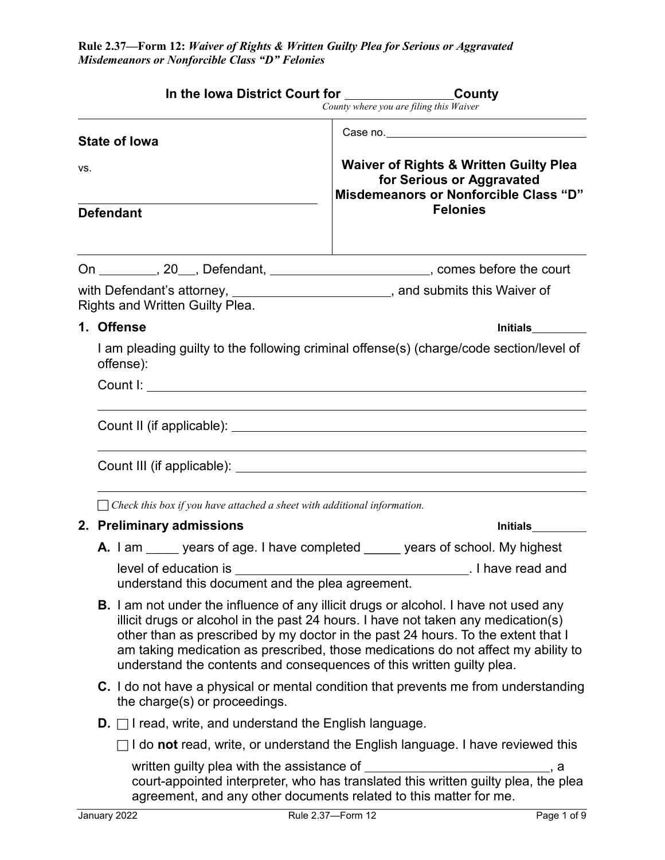|                             |                                                                                                                                                                                                                                                                                                                                                                                                                                    | In the Iowa District Court for _______________________County<br>County where you are filing this Waiver                                                                                                                                   |  |  |  |
|-----------------------------|------------------------------------------------------------------------------------------------------------------------------------------------------------------------------------------------------------------------------------------------------------------------------------------------------------------------------------------------------------------------------------------------------------------------------------|-------------------------------------------------------------------------------------------------------------------------------------------------------------------------------------------------------------------------------------------|--|--|--|
|                             |                                                                                                                                                                                                                                                                                                                                                                                                                                    |                                                                                                                                                                                                                                           |  |  |  |
| <b>State of lowa</b><br>VS. |                                                                                                                                                                                                                                                                                                                                                                                                                                    | <b>Waiver of Rights &amp; Written Guilty Plea</b><br>for Serious or Aggravated<br>Misdemeanors or Nonforcible Class "D"                                                                                                                   |  |  |  |
|                             | <b>Defendant</b>                                                                                                                                                                                                                                                                                                                                                                                                                   | <b>Felonies</b>                                                                                                                                                                                                                           |  |  |  |
|                             |                                                                                                                                                                                                                                                                                                                                                                                                                                    | On _________, 20___, Defendant, ________________________, comes before the court                                                                                                                                                          |  |  |  |
|                             | Rights and Written Guilty Plea.                                                                                                                                                                                                                                                                                                                                                                                                    | with Defendant's attorney, ________________________, and submits this Waiver of                                                                                                                                                           |  |  |  |
|                             | 1. Offense                                                                                                                                                                                                                                                                                                                                                                                                                         |                                                                                                                                                                                                                                           |  |  |  |
|                             | I am pleading guilty to the following criminal offense(s) (charge/code section/level of<br>offense):                                                                                                                                                                                                                                                                                                                               |                                                                                                                                                                                                                                           |  |  |  |
|                             |                                                                                                                                                                                                                                                                                                                                                                                                                                    |                                                                                                                                                                                                                                           |  |  |  |
|                             |                                                                                                                                                                                                                                                                                                                                                                                                                                    |                                                                                                                                                                                                                                           |  |  |  |
|                             |                                                                                                                                                                                                                                                                                                                                                                                                                                    |                                                                                                                                                                                                                                           |  |  |  |
|                             |                                                                                                                                                                                                                                                                                                                                                                                                                                    |                                                                                                                                                                                                                                           |  |  |  |
|                             |                                                                                                                                                                                                                                                                                                                                                                                                                                    |                                                                                                                                                                                                                                           |  |  |  |
|                             | $\Box$ Check this box if you have attached a sheet with additional information.                                                                                                                                                                                                                                                                                                                                                    |                                                                                                                                                                                                                                           |  |  |  |
|                             | 2. Preliminary admissions                                                                                                                                                                                                                                                                                                                                                                                                          |                                                                                                                                                                                                                                           |  |  |  |
|                             |                                                                                                                                                                                                                                                                                                                                                                                                                                    | <b>A.</b> I am _____ years of age. I have completed _____ years of school. My highest                                                                                                                                                     |  |  |  |
|                             | understand this document and the plea agreement.                                                                                                                                                                                                                                                                                                                                                                                   |                                                                                                                                                                                                                                           |  |  |  |
|                             | <b>B.</b> I am not under the influence of any illicit drugs or alcohol. I have not used any<br>illicit drugs or alcohol in the past 24 hours. I have not taken any medication(s)<br>other than as prescribed by my doctor in the past 24 hours. To the extent that I<br>am taking medication as prescribed, those medications do not affect my ability to<br>understand the contents and consequences of this written guilty plea. |                                                                                                                                                                                                                                           |  |  |  |
|                             | the charge(s) or proceedings.                                                                                                                                                                                                                                                                                                                                                                                                      | C. I do not have a physical or mental condition that prevents me from understanding                                                                                                                                                       |  |  |  |
|                             | <b>D.</b> $\Box$ I read, write, and understand the English language.                                                                                                                                                                                                                                                                                                                                                               |                                                                                                                                                                                                                                           |  |  |  |
|                             |                                                                                                                                                                                                                                                                                                                                                                                                                                    | $\Box$ I do not read, write, or understand the English language. I have reviewed this                                                                                                                                                     |  |  |  |
|                             |                                                                                                                                                                                                                                                                                                                                                                                                                                    | written guilty plea with the assistance of ________________________________, a<br>court-appointed interpreter, who has translated this written guilty plea, the plea<br>agreement, and any other documents related to this matter for me. |  |  |  |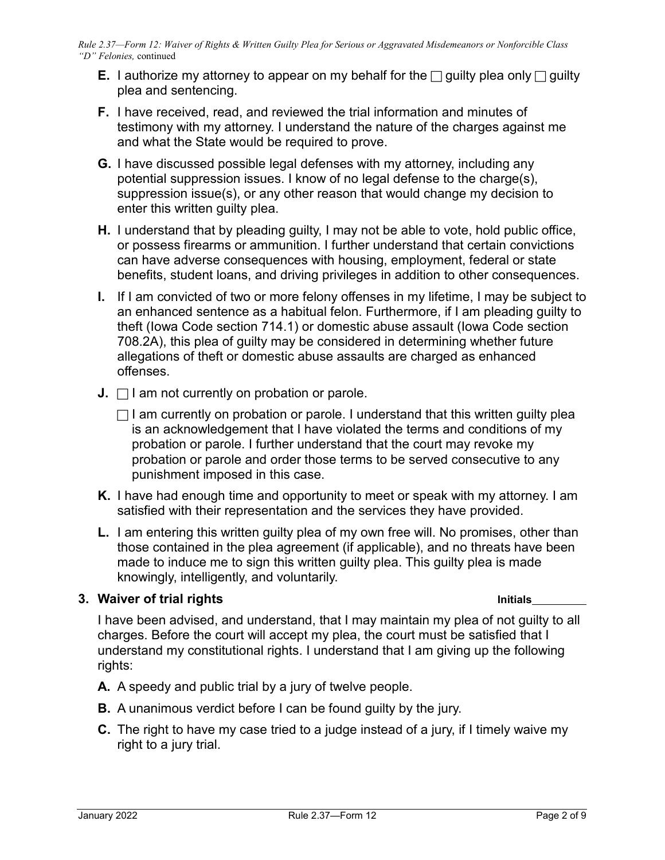- **E.** I authorize my attorney to appear on my behalf for the  $\Box$  guilty plea only  $\Box$  guilty plea and sentencing.
- **F.** I have received, read, and reviewed the trial information and minutes of testimony with my attorney. I understand the nature of the charges against me and what the State would be required to prove.
- **G.** I have discussed possible legal defenses with my attorney, including any potential suppression issues. I know of no legal defense to the charge(s), suppression issue(s), or any other reason that would change my decision to enter this written guilty plea.
- **H.** I understand that by pleading guilty, I may not be able to vote, hold public office, or possess firearms or ammunition. I further understand that certain convictions can have adverse consequences with housing, employment, federal or state benefits, student loans, and driving privileges in addition to other consequences.
- **I.** If I am convicted of two or more felony offenses in my lifetime, I may be subject to an enhanced sentence as a habitual felon. Furthermore, if I am pleading guilty to theft (Iowa Code section 714.1) or domestic abuse assault (Iowa Code section 708.2A), this plea of guilty may be considered in determining whether future allegations of theft or domestic abuse assaults are charged as enhanced offenses.
- **J.**  $\Box$  I am not currently on probation or parole.
	- $\Box$  I am currently on probation or parole. I understand that this written guilty plea is an acknowledgement that I have violated the terms and conditions of my probation or parole. I further understand that the court may revoke my probation or parole and order those terms to be served consecutive to any punishment imposed in this case.
- **K.** I have had enough time and opportunity to meet or speak with my attorney. I am satisfied with their representation and the services they have provided.
- **L.** I am entering this written guilty plea of my own free will. No promises, other than those contained in the plea agreement (if applicable), and no threats have been made to induce me to sign this written guilty plea. This guilty plea is made knowingly, intelligently, and voluntarily.

## **3. Waiver of trial rights Initials**

I have been advised, and understand, that I may maintain my plea of not guilty to all charges. Before the court will accept my plea, the court must be satisfied that I understand my constitutional rights. I understand that I am giving up the following rights:

- **A.** A speedy and public trial by a jury of twelve people.
- **B.** A unanimous verdict before I can be found guilty by the jury.
- **C.** The right to have my case tried to a judge instead of a jury, if I timely waive my right to a jury trial.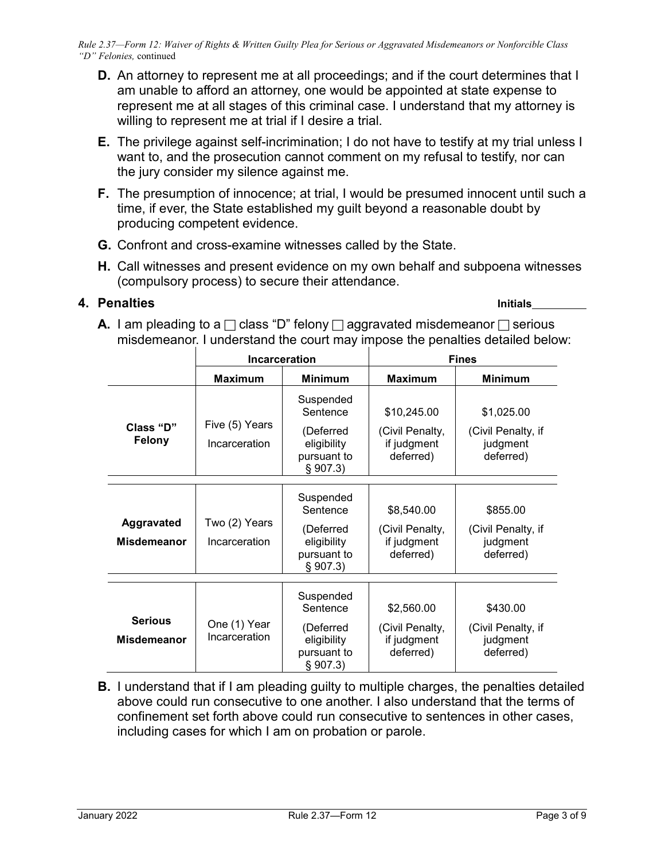- **D.** An attorney to represent me at all proceedings; and if the court determines that I am unable to afford an attorney, one would be appointed at state expense to represent me at all stages of this criminal case. I understand that my attorney is willing to represent me at trial if I desire a trial.
- **E.** The privilege against self-incrimination; I do not have to testify at my trial unless I want to, and the prosecution cannot comment on my refusal to testify, nor can the jury consider my silence against me.
- **F.** The presumption of innocence; at trial, I would be presumed innocent until such a time, if ever, the State established my guilt beyond a reasonable doubt by producing competent evidence.
- **G.** Confront and cross-examine witnesses called by the State.
- **H.** Call witnesses and present evidence on my own behalf and subpoena witnesses (compulsory process) to secure their attendance.

#### **4. Penalties Initials**

**A.** I am pleading to a  $\Box$  class "D" felony  $\Box$  aggravated misdemeanor  $\Box$  serious misdemeanor. I understand the court may impose the penalties detailed below:

|                                         | <b>Incarceration</b>            |                                                                              | <b>Fines</b>                                               |                                                           |
|-----------------------------------------|---------------------------------|------------------------------------------------------------------------------|------------------------------------------------------------|-----------------------------------------------------------|
|                                         | <b>Maximum</b>                  | <b>Minimum</b>                                                               | Maximum                                                    | <b>Minimum</b>                                            |
| Class "D"<br>Felony                     | Five (5) Years<br>Incarceration | Suspended<br>Sentence<br>(Deferred<br>eligibility<br>pursuant to<br>§ 907.3) | \$10,245.00<br>(Civil Penalty,<br>if judgment<br>deferred) | \$1,025.00<br>(Civil Penalty, if<br>judgment<br>deferred) |
| <b>Aggravated</b><br><b>Misdemeanor</b> | Two (2) Years<br>Incarceration  | Suspended<br>Sentence<br>(Deferred<br>eligibility<br>pursuant to<br>§ 907.3) | \$8,540.00<br>(Civil Penalty,<br>if judgment<br>deferred)  | \$855.00<br>(Civil Penalty, if<br>judgment<br>deferred)   |
| <b>Serious</b><br><b>Misdemeanor</b>    | One (1) Year<br>Incarceration   | Suspended<br>Sentence<br>(Deferred<br>eligibility<br>pursuant to<br>§ 907.3) | \$2,560.00<br>(Civil Penalty,<br>if judgment<br>deferred)  | \$430.00<br>(Civil Penalty, if<br>judgment<br>deferred)   |

**B.** I understand that if I am pleading guilty to multiple charges, the penalties detailed above could run consecutive to one another. I also understand that the terms of confinement set forth above could run consecutive to sentences in other cases, including cases for which I am on probation or parole.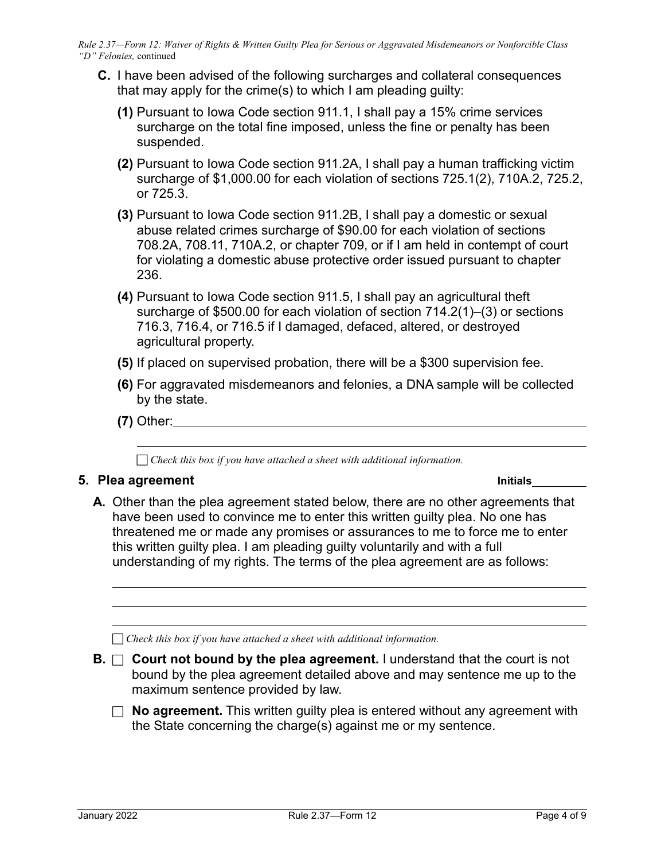- **C.** I have been advised of the following surcharges and collateral consequences that may apply for the crime(s) to which I am pleading guilty:
	- **(1)** Pursuant to Iowa Code section 911.1, I shall pay a 15% crime services surcharge on the total fine imposed, unless the fine or penalty has been suspended.
	- **(2)** Pursuant to Iowa Code section 911.2A, I shall pay a human trafficking victim surcharge of \$1,000.00 for each violation of sections 725.1(2), 710A.2, 725.2, or 725.3.
	- **(3)** Pursuant to Iowa Code section 911.2B, I shall pay a domestic or sexual abuse related crimes surcharge of \$90.00 for each violation of sections 708.2A, 708.11, 710A.2, or chapter 709, or if I am held in contempt of court for violating a domestic abuse protective order issued pursuant to chapter 236.
	- **(4)** Pursuant to Iowa Code section 911.5, I shall pay an agricultural theft surcharge of \$500.00 for each violation of section 714.2(1)–(3) or sections 716.3, 716.4, or 716.5 if I damaged, defaced, altered, or destroyed agricultural property.
	- **(5)** If placed on supervised probation, there will be a \$300 supervision fee.
	- **(6)** For aggravated misdemeanors and felonies, a DNA sample will be collected by the state.
	- **(7)** Other:

*Check this box if you have attached a sheet with additional information.*

#### **5. Plea agreement Initials**

**A.** Other than the plea agreement stated below, there are no other agreements that have been used to convince me to enter this written guilty plea. No one has threatened me or made any promises or assurances to me to force me to enter this written guilty plea. I am pleading guilty voluntarily and with a full understanding of my rights. The terms of the plea agreement are as follows:

*Check this box if you have attached a sheet with additional information.*

**B.**  $\Box$  **Court not bound by the plea agreement.** I understand that the court is not bound by the plea agreement detailed above and may sentence me up to the maximum sentence provided by law.

 $\Box$  **No agreement.** This written guilty plea is entered without any agreement with the State concerning the charge(s) against me or my sentence.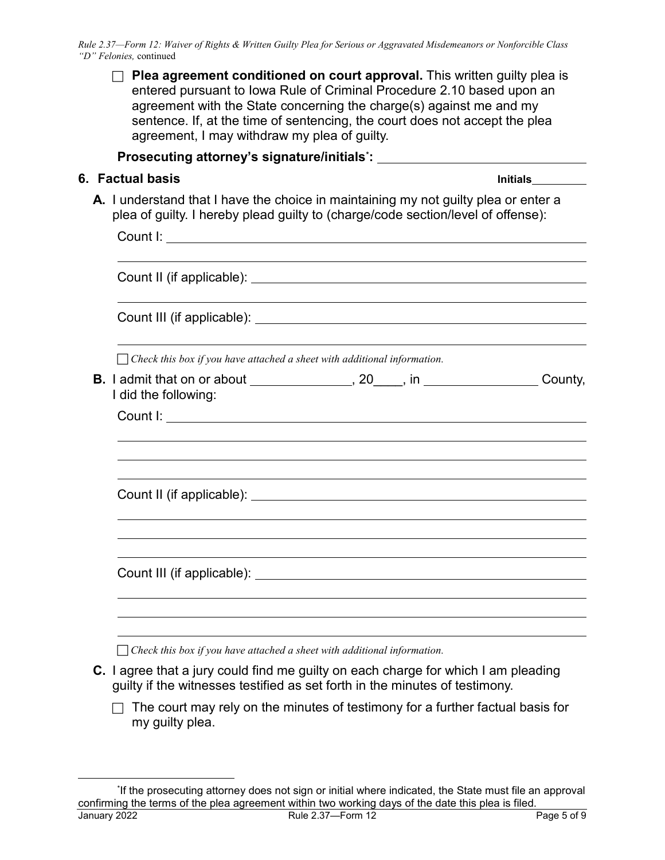| <b>Plea agreement conditioned on court approval.</b> This written guilty plea is<br>entered pursuant to Iowa Rule of Criminal Procedure 2.10 based upon an<br>agreement with the State concerning the charge(s) against me and my<br>sentence. If, at the time of sentencing, the court does not accept the plea<br>agreement, I may withdraw my plea of guilty. |  |  |  |  |  |
|------------------------------------------------------------------------------------------------------------------------------------------------------------------------------------------------------------------------------------------------------------------------------------------------------------------------------------------------------------------|--|--|--|--|--|
| Prosecuting attorney's signature/initials <sup>*</sup> : ___________________________________                                                                                                                                                                                                                                                                     |  |  |  |  |  |
| 6. Factual basis                                                                                                                                                                                                                                                                                                                                                 |  |  |  |  |  |
| A. I understand that I have the choice in maintaining my not guilty plea or enter a<br>plea of guilty. I hereby plead guilty to (charge/code section/level of offense):                                                                                                                                                                                          |  |  |  |  |  |
|                                                                                                                                                                                                                                                                                                                                                                  |  |  |  |  |  |
|                                                                                                                                                                                                                                                                                                                                                                  |  |  |  |  |  |
|                                                                                                                                                                                                                                                                                                                                                                  |  |  |  |  |  |
| $\Box$ Check this box if you have attached a sheet with additional information.                                                                                                                                                                                                                                                                                  |  |  |  |  |  |
| <b>B.</b> I admit that on or about ________________, 20____, in ___________________County,<br>I did the following:                                                                                                                                                                                                                                               |  |  |  |  |  |
|                                                                                                                                                                                                                                                                                                                                                                  |  |  |  |  |  |
|                                                                                                                                                                                                                                                                                                                                                                  |  |  |  |  |  |
| Count III (if applicable):                                                                                                                                                                                                                                                                                                                                       |  |  |  |  |  |
|                                                                                                                                                                                                                                                                                                                                                                  |  |  |  |  |  |
| Check this box if you have attached a sheet with additional information.<br><b>C.</b> Lagree that a jury could find me quilty on each charge for which Lam pleading                                                                                                                                                                                              |  |  |  |  |  |

**C.** I agree that a jury could find me guilty on each charge for which I am pleading guilty if the witnesses testified as set forth in the minutes of testimony.

 $\Box$  The court may rely on the minutes of testimony for a further factual basis for my guilty plea.

 $\overline{\phantom{a}}$ 

<span id="page-4-0"></span>January 2022 **Rule 2.37—Form 12** Page 5 of 9 \* If the prosecuting attorney does not sign or initial where indicated, the State must file an approval confirming the terms of the plea agreement within two working days of the date this plea is filed.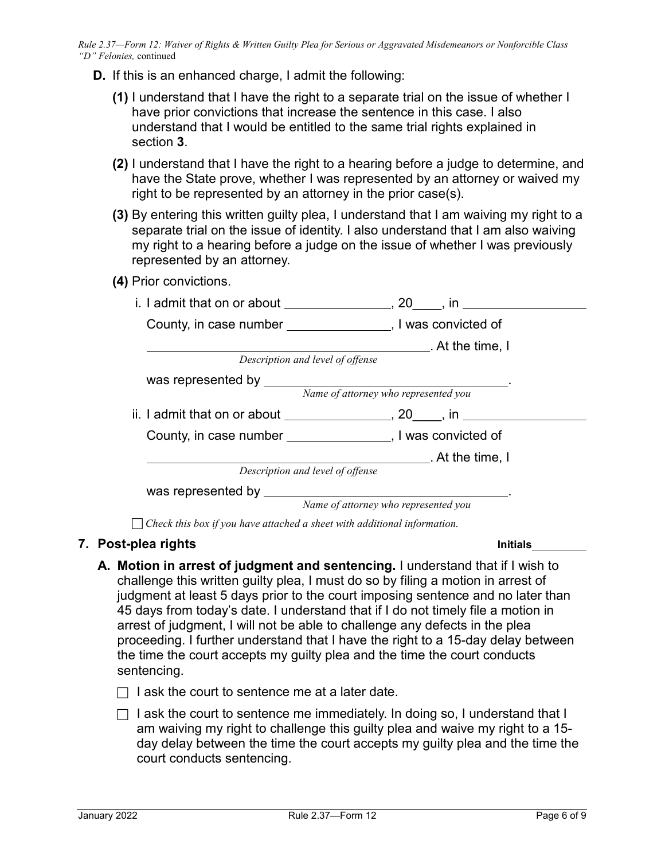- **D.** If this is an enhanced charge, I admit the following:
	- **(1)** I understand that I have the right to a separate trial on the issue of whether I have prior convictions that increase the sentence in this case. I also understand that I would be entitled to the same trial rights explained in section **3**.
	- **(2)** I understand that I have the right to a hearing before a judge to determine, and have the State prove, whether I was represented by an attorney or waived my right to be represented by an attorney in the prior case(s).
	- **(3)** By entering this written guilty plea, I understand that I am waiving my right to a separate trial on the issue of identity. I also understand that I am also waiving my right to a hearing before a judge on the issue of whether I was previously represented by an attorney.
	- **(4)** Prior convictions.

| i. I admit that on or about _______________, 20____, in ___________________ |                                           |
|-----------------------------------------------------------------------------|-------------------------------------------|
| County, in case number ____________________, I was convicted of             |                                           |
|                                                                             | $\mathsf{A}$ . At the time, I             |
| Description and level of offense                                            |                                           |
|                                                                             |                                           |
|                                                                             | Name of attorney who represented you      |
| ii. I admit that on or about _______________, 20____, in ________________   |                                           |
| County, in case number ______________________, I was convicted of           |                                           |
|                                                                             | $\overline{\phantom{a}}$ . At the time, I |
| Description and level of offense                                            |                                           |
|                                                                             |                                           |
|                                                                             | Name of attorney who represented you      |

*Check this box if you have attached a sheet with additional information.*

## **7. Post-plea rights Initials**

- **A. Motion in arrest of judgment and sentencing.** I understand that if I wish to challenge this written guilty plea, I must do so by filing a motion in arrest of judgment at least 5 days prior to the court imposing sentence and no later than 45 days from today's date. I understand that if I do not timely file a motion in arrest of judgment, I will not be able to challenge any defects in the plea proceeding. I further understand that I have the right to a 15-day delay between the time the court accepts my guilty plea and the time the court conducts sentencing.
	- $\Box$  I ask the court to sentence me at a later date.
	- $\Box$  I ask the court to sentence me immediately. In doing so, I understand that I am waiving my right to challenge this guilty plea and waive my right to a 15 day delay between the time the court accepts my guilty plea and the time the court conducts sentencing.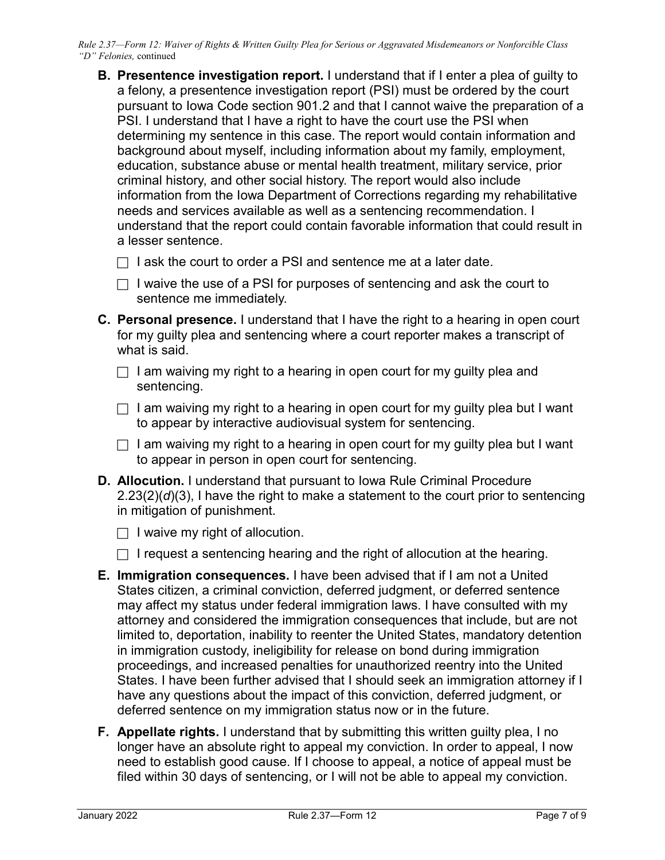- **B. Presentence investigation report.** I understand that if I enter a plea of guilty to a felony, a presentence investigation report (PSI) must be ordered by the court pursuant to Iowa Code section 901.2 and that I cannot waive the preparation of a PSI. I understand that I have a right to have the court use the PSI when determining my sentence in this case. The report would contain information and background about myself, including information about my family, employment, education, substance abuse or mental health treatment, military service, prior criminal history, and other social history. The report would also include information from the Iowa Department of Corrections regarding my rehabilitative needs and services available as well as a sentencing recommendation. I understand that the report could contain favorable information that could result in a lesser sentence.
	- $\Box$  I ask the court to order a PSI and sentence me at a later date.
	- $\Box$  I waive the use of a PSI for purposes of sentencing and ask the court to sentence me immediately.
- **C. Personal presence.** I understand that I have the right to a hearing in open court for my guilty plea and sentencing where a court reporter makes a transcript of what is said.
	- $\Box$  I am waiving my right to a hearing in open court for my guilty plea and sentencing.
	- $\Box$  I am waiving my right to a hearing in open court for my guilty plea but I want to appear by interactive audiovisual system for sentencing.
	- $\Box$  I am waiving my right to a hearing in open court for my guilty plea but I want to appear in person in open court for sentencing.
- **D. Allocution.** I understand that pursuant to Iowa Rule Criminal Procedure 2.23(2)(*d*)(3), I have the right to make a statement to the court prior to sentencing in mitigation of punishment.
	- $\Box$  I waive my right of allocution.
	- $\Box$  I request a sentencing hearing and the right of allocution at the hearing.
- **E. Immigration consequences.** I have been advised that if I am not a United States citizen, a criminal conviction, deferred judgment, or deferred sentence may affect my status under federal immigration laws. I have consulted with my attorney and considered the immigration consequences that include, but are not limited to, deportation, inability to reenter the United States, mandatory detention in immigration custody, ineligibility for release on bond during immigration proceedings, and increased penalties for unauthorized reentry into the United States. I have been further advised that I should seek an immigration attorney if I have any questions about the impact of this conviction, deferred judgment, or deferred sentence on my immigration status now or in the future.
- **F. Appellate rights.** I understand that by submitting this written guilty plea, I no longer have an absolute right to appeal my conviction. In order to appeal, I now need to establish good cause. If I choose to appeal, a notice of appeal must be filed within 30 days of sentencing, or I will not be able to appeal my conviction.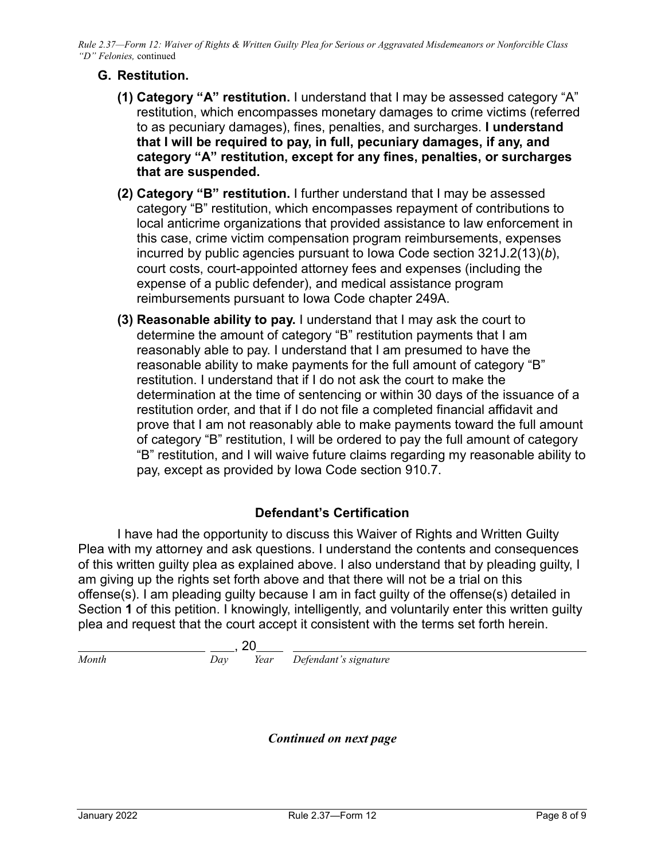# **G. Restitution.**

- **(1) Category "A" restitution.** I understand that I may be assessed category "A" restitution, which encompasses monetary damages to crime victims (referred to as pecuniary damages), fines, penalties, and surcharges. **I understand that I will be required to pay, in full, pecuniary damages, if any, and category "A" restitution, except for any fines, penalties, or surcharges that are suspended.**
- **(2) Category "B" restitution.** I further understand that I may be assessed category "B" restitution, which encompasses repayment of contributions to local anticrime organizations that provided assistance to law enforcement in this case, crime victim compensation program reimbursements, expenses incurred by public agencies pursuant to Iowa Code section 321J.2(13)(*b*), court costs, court-appointed attorney fees and expenses (including the expense of a public defender), and medical assistance program reimbursements pursuant to Iowa Code chapter 249A.
- **(3) Reasonable ability to pay.** I understand that I may ask the court to determine the amount of category "B" restitution payments that I am reasonably able to pay. I understand that I am presumed to have the reasonable ability to make payments for the full amount of category "B" restitution. I understand that if I do not ask the court to make the determination at the time of sentencing or within 30 days of the issuance of a restitution order, and that if I do not file a completed financial affidavit and prove that I am not reasonably able to make payments toward the full amount of category "B" restitution, I will be ordered to pay the full amount of category "B" restitution, and I will waive future claims regarding my reasonable ability to pay, except as provided by Iowa Code section 910.7.

## **Defendant's Certification**

I have had the opportunity to discuss this Waiver of Rights and Written Guilty Plea with my attorney and ask questions. I understand the contents and consequences of this written guilty plea as explained above. I also understand that by pleading guilty, I am giving up the rights set forth above and that there will not be a trial on this offense(s). I am pleading guilty because I am in fact guilty of the offense(s) detailed in Section **1** of this petition. I knowingly, intelligently, and voluntarily enter this written guilty plea and request that the court accept it consistent with the terms set forth herein.

$$
\frac{1}{\text{Month}}
$$
  $\frac{20}{\text{Year}}$   $\frac{20}{\text{Department's signature}}$ 

*Continued on next page*